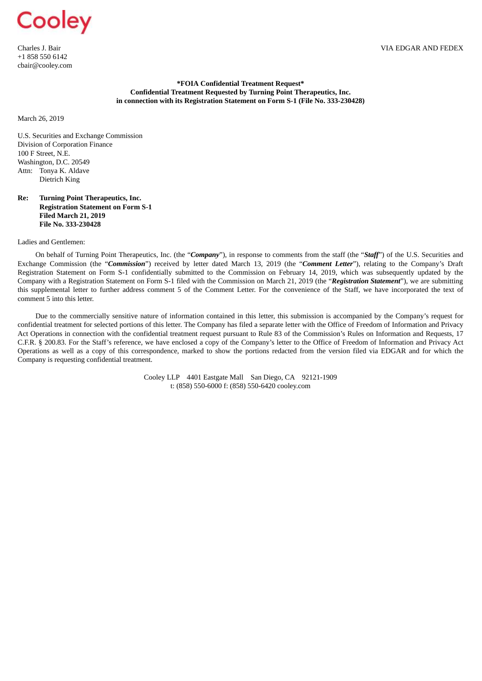Charles J. Bair +1 858 550 6142 cbair@cooley.com

### **\*FOIA Confidential Treatment Request\* Confidential Treatment Requested by Turning Point Therapeutics, Inc. in connection with its Registration Statement on Form S-1 (File No. 333-230428)**

March 26, 2019

U.S. Securities and Exchange Commission Division of Corporation Finance 100 F Street, N.E. Washington, D.C. 20549 Attn: Tonya K. Aldave Dietrich King

### **Re: Turning Point Therapeutics, Inc. Registration Statement on Form S-1 Filed March 21, 2019 File No. 333-230428**

Ladies and Gentlemen:

On behalf of Turning Point Therapeutics, Inc. (the "*Company*"), in response to comments from the staff (the "*Staff*") of the U.S. Securities and Exchange Commission (the "*Commission*") received by letter dated March 13, 2019 (the "*Comment Letter*"), relating to the Company's Draft Registration Statement on Form S-1 confidentially submitted to the Commission on February 14, 2019, which was subsequently updated by the Company with a Registration Statement on Form S-1 filed with the Commission on March 21, 2019 (the "*Registration Statement*"), we are submitting this supplemental letter to further address comment 5 of the Comment Letter. For the convenience of the Staff, we have incorporated the text of comment 5 into this letter.

Due to the commercially sensitive nature of information contained in this letter, this submission is accompanied by the Company's request for confidential treatment for selected portions of this letter. The Company has filed a separate letter with the Office of Freedom of Information and Privacy Act Operations in connection with the confidential treatment request pursuant to Rule 83 of the Commission's Rules on Information and Requests, 17 C.F.R. § 200.83. For the Staff's reference, we have enclosed a copy of the Company's letter to the Office of Freedom of Information and Privacy Act Operations as well as a copy of this correspondence, marked to show the portions redacted from the version filed via EDGAR and for which the Company is requesting confidential treatment.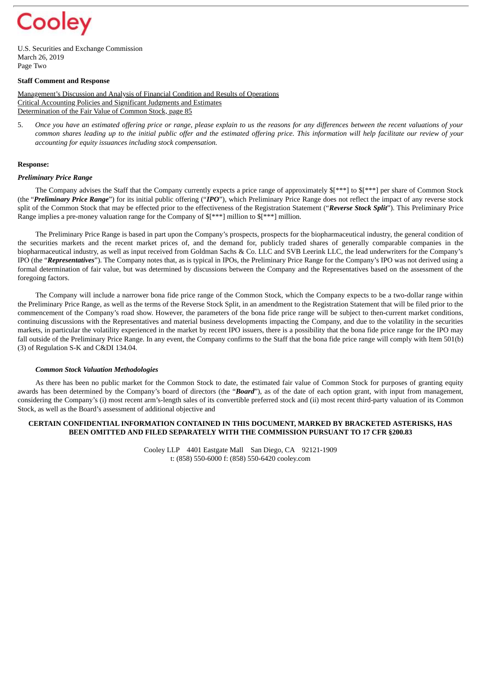U.S. Securities and Exchange Commission March 26, 2019 Page Two

### **Staff Comment and Response**

Management's Discussion and Analysis of Financial Condition and Results of Operations Critical Accounting Policies and Significant Judgments and Estimates Determination of the Fair Value of Common Stock, page 85

5. Once you have an estimated offering price or range, please explain to us the reasons for any differences between the recent valuations of your common shares leading up to the initial public offer and the estimated offering price. This information will help facilitate our review of your *accounting for equity issuances including stock compensation.*

#### **Response:**

### *Preliminary Price Range*

The Company advises the Staff that the Company currently expects a price range of approximately \$[\*\*\*] to \$[\*\*\*] per share of Common Stock (the "*Preliminary Price Range*") for its initial public offering ("*IPO*"), which Preliminary Price Range does not reflect the impact of any reverse stock split of the Common Stock that may be effected prior to the effectiveness of the Registration Statement ("*Reverse Stock Split*"). This Preliminary Price Range implies a pre-money valuation range for the Company of  $[$ \*\*\*] million to  $[$ \*\*\*] million.

The Preliminary Price Range is based in part upon the Company's prospects, prospects for the biopharmaceutical industry, the general condition of the securities markets and the recent market prices of, and the demand for, publicly traded shares of generally comparable companies in the biopharmaceutical industry, as well as input received from Goldman Sachs & Co. LLC and SVB Leerink LLC, the lead underwriters for the Company's IPO (the "*Representatives*"). The Company notes that, as is typical in IPOs, the Preliminary Price Range for the Company's IPO was not derived using a formal determination of fair value, but was determined by discussions between the Company and the Representatives based on the assessment of the foregoing factors.

The Company will include a narrower bona fide price range of the Common Stock, which the Company expects to be a two-dollar range within the Preliminary Price Range, as well as the terms of the Reverse Stock Split, in an amendment to the Registration Statement that will be filed prior to the commencement of the Company's road show. However, the parameters of the bona fide price range will be subject to then-current market conditions, continuing discussions with the Representatives and material business developments impacting the Company, and due to the volatility in the securities markets, in particular the volatility experienced in the market by recent IPO issuers, there is a possibility that the bona fide price range for the IPO may fall outside of the Preliminary Price Range. In any event, the Company confirms to the Staff that the bona fide price range will comply with Item 501(b) (3) of Regulation S-K and C&DI 134.04.

### *Common Stock Valuation Methodologies*

As there has been no public market for the Common Stock to date, the estimated fair value of Common Stock for purposes of granting equity awards has been determined by the Company's board of directors (the "*Board*"), as of the date of each option grant, with input from management, considering the Company's (i) most recent arm's-length sales of its convertible preferred stock and (ii) most recent third-party valuation of its Common Stock, as well as the Board's assessment of additional objective and

### **CERTAIN CONFIDENTIAL INFORMATION CONTAINED IN THIS DOCUMENT, MARKED BY BRACKETED ASTERISKS, HAS BEEN OMITTED AND FILED SEPARATELY WITH THE COMMISSION PURSUANT TO 17 CFR §200.83**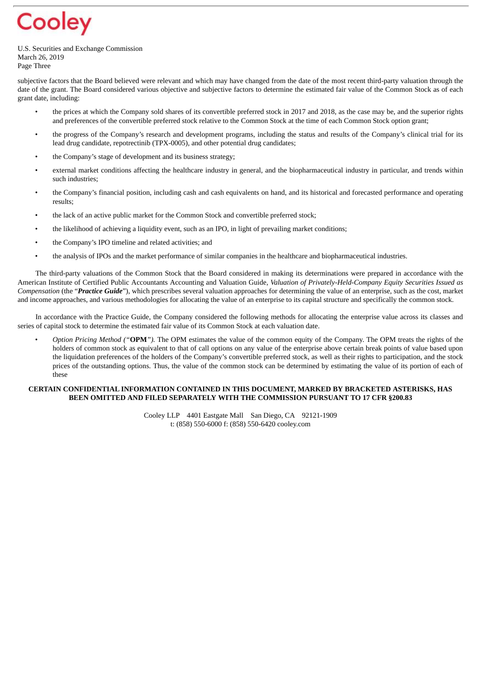U.S. Securities and Exchange Commission March 26, 2019 Page Three

subjective factors that the Board believed were relevant and which may have changed from the date of the most recent third-party valuation through the date of the grant. The Board considered various objective and subjective factors to determine the estimated fair value of the Common Stock as of each grant date, including:

- the prices at which the Company sold shares of its convertible preferred stock in 2017 and 2018, as the case may be, and the superior rights and preferences of the convertible preferred stock relative to the Common Stock at the time of each Common Stock option grant;
- the progress of the Company's research and development programs, including the status and results of the Company's clinical trial for its lead drug candidate, repotrectinib (TPX-0005), and other potential drug candidates;
- the Company's stage of development and its business strategy;
- external market conditions affecting the healthcare industry in general, and the biopharmaceutical industry in particular, and trends within such industries;
- the Company's financial position, including cash and cash equivalents on hand, and its historical and forecasted performance and operating results;
- the lack of an active public market for the Common Stock and convertible preferred stock;
- the likelihood of achieving a liquidity event, such as an IPO, in light of prevailing market conditions;
- the Company's IPO timeline and related activities; and
- the analysis of IPOs and the market performance of similar companies in the healthcare and biopharmaceutical industries.

The third-party valuations of the Common Stock that the Board considered in making its determinations were prepared in accordance with the American Institute of Certified Public Accountants Accounting and Valuation Guide*, Valuation of Privately-Held-Company Equity Securities Issued as Compensation* (the "*Practice Guide*"), which prescribes several valuation approaches for determining the value of an enterprise, such as the cost, market and income approaches, and various methodologies for allocating the value of an enterprise to its capital structure and specifically the common stock.

In accordance with the Practice Guide, the Company considered the following methods for allocating the enterprise value across its classes and series of capital stock to determine the estimated fair value of its Common Stock at each valuation date.

• *Option Pricing Method ("***OPM***").* The OPM estimates the value of the common equity of the Company. The OPM treats the rights of the holders of common stock as equivalent to that of call options on any value of the enterprise above certain break points of value based upon the liquidation preferences of the holders of the Company's convertible preferred stock, as well as their rights to participation, and the stock prices of the outstanding options. Thus, the value of the common stock can be determined by estimating the value of its portion of each of these

### **CERTAIN CONFIDENTIAL INFORMATION CONTAINED IN THIS DOCUMENT, MARKED BY BRACKETED ASTERISKS, HAS BEEN OMITTED AND FILED SEPARATELY WITH THE COMMISSION PURSUANT TO 17 CFR §200.83**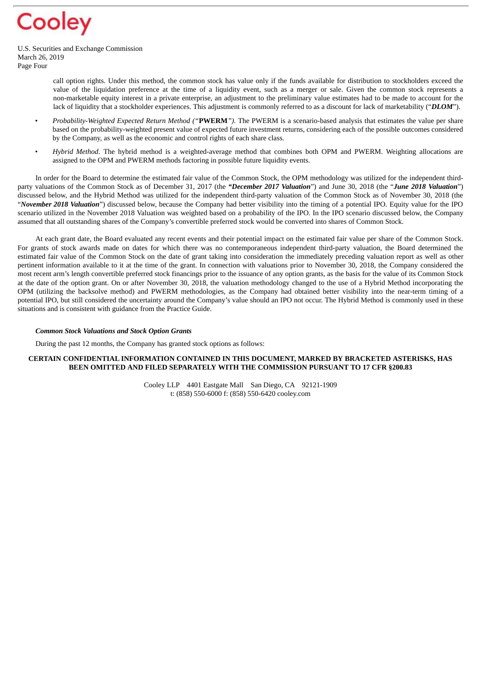U.S. Securities and Exchange Commission March 26, 2019 Page Four

- call option rights. Under this method, the common stock has value only if the funds available for distribution to stockholders exceed the value of the liquidation preference at the time of a liquidity event, such as a merger or sale. Given the common stock represents a non-marketable equity interest in a private enterprise, an adjustment to the preliminary value estimates had to be made to account for the lack of liquidity that a stockholder experiences. This adjustment is commonly referred to as a discount for lack of marketability ("*DLOM*").
- *Probability-Weighted Expected Return Method ("***PWERM***").* The PWERM is a scenario-based analysis that estimates the value per share based on the probability-weighted present value of expected future investment returns, considering each of the possible outcomes considered by the Company, as well as the economic and control rights of each share class.
- *Hybrid Method*. The hybrid method is a weighted-average method that combines both OPM and PWERM. Weighting allocations are assigned to the OPM and PWERM methods factoring in possible future liquidity events.

In order for the Board to determine the estimated fair value of the Common Stock, the OPM methodology was utilized for the independent thirdparty valuations of the Common Stock as of December 31, 2017 (the *"December 2017 Valuation*") and June 30, 2018 (the "*June 2018 Valuation*") discussed below, and the Hybrid Method was utilized for the independent third-party valuation of the Common Stock as of November 30, 2018 (the "*November 2018 Valuation*") discussed below, because the Company had better visibility into the timing of a potential IPO. Equity value for the IPO scenario utilized in the November 2018 Valuation was weighted based on a probability of the IPO. In the IPO scenario discussed below, the Company assumed that all outstanding shares of the Company's convertible preferred stock would be converted into shares of Common Stock.

At each grant date, the Board evaluated any recent events and their potential impact on the estimated fair value per share of the Common Stock. For grants of stock awards made on dates for which there was no contemporaneous independent third-party valuation, the Board determined the estimated fair value of the Common Stock on the date of grant taking into consideration the immediately preceding valuation report as well as other pertinent information available to it at the time of the grant. In connection with valuations prior to November 30, 2018, the Company considered the most recent arm's length convertible preferred stock financings prior to the issuance of any option grants, as the basis for the value of its Common Stock at the date of the option grant. On or after November 30, 2018, the valuation methodology changed to the use of a Hybrid Method incorporating the OPM (utilizing the backsolve method) and PWERM methodologies, as the Company had obtained better visibility into the near-term timing of a potential IPO, but still considered the uncertainty around the Company's value should an IPO not occur. The Hybrid Method is commonly used in these situations and is consistent with guidance from the Practice Guide.

### *Common Stock Valuations and Stock Option Grants*

During the past 12 months, the Company has granted stock options as follows:

### **CERTAIN CONFIDENTIAL INFORMATION CONTAINED IN THIS DOCUMENT, MARKED BY BRACKETED ASTERISKS, HAS BEEN OMITTED AND FILED SEPARATELY WITH THE COMMISSION PURSUANT TO 17 CFR §200.83**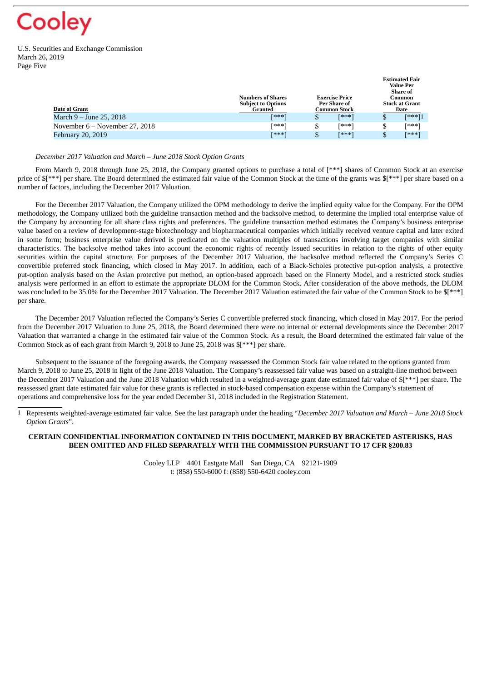U.S. Securities and Exchange Commission March 26, 2019 Page Five

| Date of Grant                    | <b>Numbers of Shares</b><br><b>Subject to Options</b><br>Granted | <b>Exercise Price</b><br>Per Share of<br>Common Stock |       | <b>Value Per</b><br>Share of<br>Common<br><b>Stock at Grant</b><br>Date |        |
|----------------------------------|------------------------------------------------------------------|-------------------------------------------------------|-------|-------------------------------------------------------------------------|--------|
| March 9 – June 25, 2018          | [***]                                                            |                                                       | [***] | \$                                                                      | [***]1 |
| November $6 -$ November 27, 2018 | [***]                                                            |                                                       | Г∗∗∗⊺ | \$                                                                      | Г∗∗∗`  |
| February 20, 2019                | [***]                                                            |                                                       | [***] |                                                                         | [***]  |

**Estimated Fair**

### *December 2017 Valuation and March – June 2018 Stock Option Grants*

From March 9, 2018 through June 25, 2018, the Company granted options to purchase a total of [\*\*\*] shares of Common Stock at an exercise price of  $\frac{1}{2}$  per share. The Board determined the estimated fair value of the Common Stock at the time of the grants was  $\frac{1}{2}$  per share based on a number of factors, including the December 2017 Valuation.

For the December 2017 Valuation, the Company utilized the OPM methodology to derive the implied equity value for the Company. For the OPM methodology, the Company utilized both the guideline transaction method and the backsolve method, to determine the implied total enterprise value of the Company by accounting for all share class rights and preferences. The guideline transaction method estimates the Company's business enterprise value based on a review of development-stage biotechnology and biopharmaceutical companies which initially received venture capital and later exited in some form; business enterprise value derived is predicated on the valuation multiples of transactions involving target companies with similar characteristics. The backsolve method takes into account the economic rights of recently issued securities in relation to the rights of other equity securities within the capital structure. For purposes of the December 2017 Valuation, the backsolve method reflected the Company's Series C convertible preferred stock financing, which closed in May 2017. In addition, each of a Black-Scholes protective put-option analysis, a protective put-option analysis based on the Asian protective put method, an option-based approach based on the Finnerty Model, and a restricted stock studies analysis were performed in an effort to estimate the appropriate DLOM for the Common Stock. After consideration of the above methods, the DLOM was concluded to be 35.0% for the December 2017 Valuation. The December 2017 Valuation estimated the fair value of the Common Stock to be \$[\*\*\*] per share.

The December 2017 Valuation reflected the Company's Series C convertible preferred stock financing, which closed in May 2017. For the period from the December 2017 Valuation to June 25, 2018, the Board determined there were no internal or external developments since the December 2017 Valuation that warranted a change in the estimated fair value of the Common Stock. As a result, the Board determined the estimated fair value of the Common Stock as of each grant from March 9, 2018 to June 25, 2018 was \$[\*\*\*] per share.

Subsequent to the issuance of the foregoing awards, the Company reassessed the Common Stock fair value related to the options granted from March 9, 2018 to June 25, 2018 in light of the June 2018 Valuation. The Company's reassessed fair value was based on a straight-line method between the December 2017 Valuation and the June 2018 Valuation which resulted in a weighted-average grant date estimated fair value of \$[\*\*\*] per share. The reassessed grant date estimated fair value for these grants is reflected in stock-based compensation expense within the Company's statement of operations and comprehensive loss for the year ended December 31, 2018 included in the Registration Statement.

1 Represents weighted-average estimated fair value. See the last paragraph under the heading "*December 2017 Valuation and March – June 2018 Stock Option Grants*".

### **CERTAIN CONFIDENTIAL INFORMATION CONTAINED IN THIS DOCUMENT, MARKED BY BRACKETED ASTERISKS, HAS BEEN OMITTED AND FILED SEPARATELY WITH THE COMMISSION PURSUANT TO 17 CFR §200.83**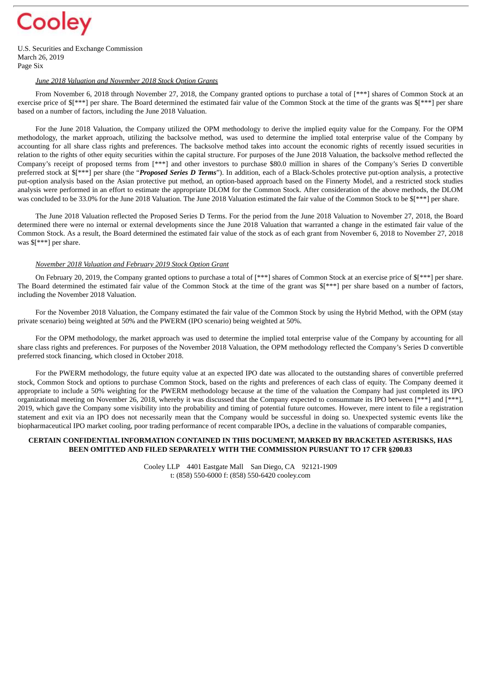U.S. Securities and Exchange Commission March 26, 2019 Page Six

### *June 2018 Valuation and November 2018 Stock Option Grants*

From November 6, 2018 through November 27, 2018, the Company granted options to purchase a total of [\*\*\*] shares of Common Stock at an exercise price of  $\{f^{***}\}$  per share. The Board determined the estimated fair value of the Common Stock at the time of the grants was  $\{f^{***}\}$  per share based on a number of factors, including the June 2018 Valuation.

For the June 2018 Valuation, the Company utilized the OPM methodology to derive the implied equity value for the Company. For the OPM methodology, the market approach, utilizing the backsolve method, was used to determine the implied total enterprise value of the Company by accounting for all share class rights and preferences. The backsolve method takes into account the economic rights of recently issued securities in relation to the rights of other equity securities within the capital structure. For purposes of the June 2018 Valuation, the backsolve method reflected the Company's receipt of proposed terms from [\*\*\*] and other investors to purchase \$80.0 million in shares of the Company's Series D convertible preferred stock at \$[\*\*\*] per share (the "*Proposed Series D Terms*"). In addition, each of a Black-Scholes protective put-option analysis, a protective put-option analysis based on the Asian protective put method, an option-based approach based on the Finnerty Model, and a restricted stock studies analysis were performed in an effort to estimate the appropriate DLOM for the Common Stock. After consideration of the above methods, the DLOM was concluded to be 33.0% for the June 2018 Valuation. The June 2018 Valuation estimated the fair value of the Common Stock to be  $\frac{1}{8}$ [\*\*\*] per share.

The June 2018 Valuation reflected the Proposed Series D Terms. For the period from the June 2018 Valuation to November 27, 2018, the Board determined there were no internal or external developments since the June 2018 Valuation that warranted a change in the estimated fair value of the Common Stock. As a result, the Board determined the estimated fair value of the stock as of each grant from November 6, 2018 to November 27, 2018 was \$[\*\*\*] per share.

### *November 2018 Valuation and February 2019 Stock Option Grant*

On February 20, 2019, the Company granted options to purchase a total of [\*\*\*] shares of Common Stock at an exercise price of  $\{$ [\*\*\*] per share. The Board determined the estimated fair value of the Common Stock at the time of the grant was  $\mathbb{S}$ [\*\*\*] per share based on a number of factors, including the November 2018 Valuation.

For the November 2018 Valuation, the Company estimated the fair value of the Common Stock by using the Hybrid Method, with the OPM (stay private scenario) being weighted at 50% and the PWERM (IPO scenario) being weighted at 50%.

For the OPM methodology, the market approach was used to determine the implied total enterprise value of the Company by accounting for all share class rights and preferences. For purposes of the November 2018 Valuation, the OPM methodology reflected the Company's Series D convertible preferred stock financing, which closed in October 2018.

For the PWERM methodology, the future equity value at an expected IPO date was allocated to the outstanding shares of convertible preferred stock, Common Stock and options to purchase Common Stock, based on the rights and preferences of each class of equity. The Company deemed it appropriate to include a 50% weighting for the PWERM methodology because at the time of the valuation the Company had just completed its IPO organizational meeting on November 26, 2018, whereby it was discussed that the Company expected to consummate its IPO between [\*\*\*] and [\*\*\*], 2019, which gave the Company some visibility into the probability and timing of potential future outcomes. However, mere intent to file a registration statement and exit via an IPO does not necessarily mean that the Company would be successful in doing so. Unexpected systemic events like the biopharmaceutical IPO market cooling, poor trading performance of recent comparable IPOs, a decline in the valuations of comparable companies,

## **CERTAIN CONFIDENTIAL INFORMATION CONTAINED IN THIS DOCUMENT, MARKED BY BRACKETED ASTERISKS, HAS BEEN OMITTED AND FILED SEPARATELY WITH THE COMMISSION PURSUANT TO 17 CFR §200.83**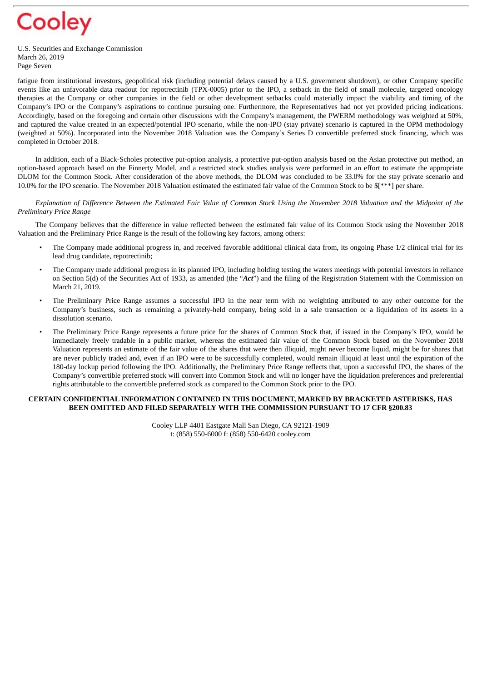

U.S. Securities and Exchange Commission March 26, 2019 Page Seven

fatigue from institutional investors, geopolitical risk (including potential delays caused by a U.S. government shutdown), or other Company specific events like an unfavorable data readout for repotrectinib (TPX-0005) prior to the IPO, a setback in the field of small molecule, targeted oncology therapies at the Company or other companies in the field or other development setbacks could materially impact the viability and timing of the Company's IPO or the Company's aspirations to continue pursuing one. Furthermore, the Representatives had not yet provided pricing indications. Accordingly, based on the foregoing and certain other discussions with the Company's management, the PWERM methodology was weighted at 50%, and captured the value created in an expected/potential IPO scenario, while the non-IPO (stay private) scenario is captured in the OPM methodology (weighted at 50%). Incorporated into the November 2018 Valuation was the Company's Series D convertible preferred stock financing, which was completed in October 2018.

In addition, each of a Black-Scholes protective put-option analysis, a protective put-option analysis based on the Asian protective put method, an option-based approach based on the Finnerty Model, and a restricted stock studies analysis were performed in an effort to estimate the appropriate DLOM for the Common Stock. After consideration of the above methods, the DLOM was concluded to be 33.0% for the stay private scenario and 10.0% for the IPO scenario. The November 2018 Valuation estimated the estimated fair value of the Common Stock to be \$[\*\*\*] per share.

Explanation of Difference Between the Estimated Fair Value of Common Stock Using the November 2018 Valuation and the Midpoint of the *Preliminary Price Range*

The Company believes that the difference in value reflected between the estimated fair value of its Common Stock using the November 2018 Valuation and the Preliminary Price Range is the result of the following key factors, among others:

- The Company made additional progress in, and received favorable additional clinical data from, its ongoing Phase 1/2 clinical trial for its lead drug candidate, repotrectinib;
- The Company made additional progress in its planned IPO, including holding testing the waters meetings with potential investors in reliance on Section 5(d) of the Securities Act of 1933, as amended (the "*Act*") and the filing of the Registration Statement with the Commission on March 21, 2019.
- The Preliminary Price Range assumes a successful IPO in the near term with no weighting attributed to any other outcome for the Company's business, such as remaining a privately-held company, being sold in a sale transaction or a liquidation of its assets in a dissolution scenario.
- The Preliminary Price Range represents a future price for the shares of Common Stock that, if issued in the Company's IPO, would be immediately freely tradable in a public market, whereas the estimated fair value of the Common Stock based on the November 2018 Valuation represents an estimate of the fair value of the shares that were then illiquid, might never become liquid, might be for shares that are never publicly traded and, even if an IPO were to be successfully completed, would remain illiquid at least until the expiration of the 180-day lockup period following the IPO. Additionally, the Preliminary Price Range reflects that, upon a successful IPO, the shares of the Company's convertible preferred stock will convert into Common Stock and will no longer have the liquidation preferences and preferential rights attributable to the convertible preferred stock as compared to the Common Stock prior to the IPO.

## **CERTAIN CONFIDENTIAL INFORMATION CONTAINED IN THIS DOCUMENT, MARKED BY BRACKETED ASTERISKS, HAS BEEN OMITTED AND FILED SEPARATELY WITH THE COMMISSION PURSUANT TO 17 CFR §200.83**